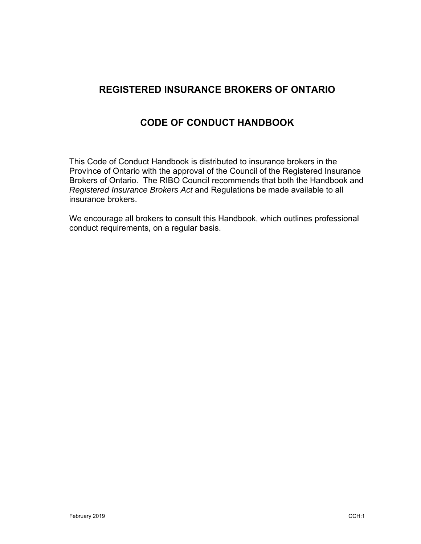# **REGISTERED INSURANCE BROKERS OF ONTARIO**

# **CODE OF CONDUCT HANDBOOK**

This Code of Conduct Handbook is distributed to insurance brokers in the Province of Ontario with the approval of the Council of the Registered Insurance Brokers of Ontario. The RIBO Council recommends that both the Handbook and *Registered Insurance Brokers Act* and Regulations be made available to all insurance brokers.

We encourage all brokers to consult this Handbook, which outlines professional conduct requirements, on a regular basis.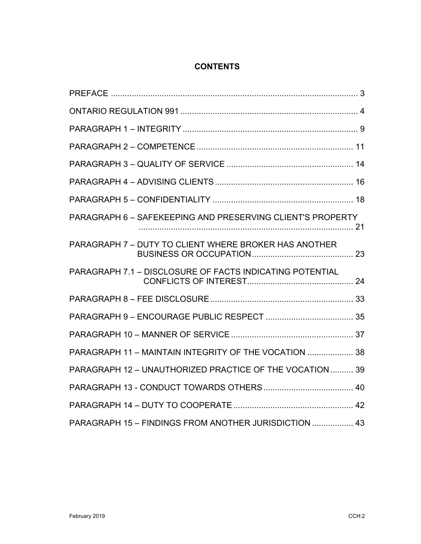# **CONTENTS**

| PARAGRAPH 6 - SAFEKEEPING AND PRESERVING CLIENT'S PROPERTY |  |
|------------------------------------------------------------|--|
| PARAGRAPH 7 - DUTY TO CLIENT WHERE BROKER HAS ANOTHER      |  |
| PARAGRAPH 7.1 - DISCLOSURE OF FACTS INDICATING POTENTIAL   |  |
|                                                            |  |
|                                                            |  |
|                                                            |  |
| PARAGRAPH 11 - MAINTAIN INTEGRITY OF THE VOCATION  38      |  |
| PARAGRAPH 12 - UNAUTHORIZED PRACTICE OF THE VOCATION  39   |  |
|                                                            |  |
|                                                            |  |
| PARAGRAPH 15 - FINDINGS FROM ANOTHER JURISDICTION  43      |  |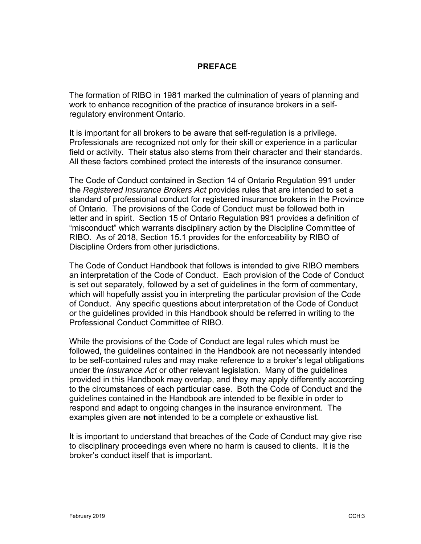### **PREFACE**

The formation of RIBO in 1981 marked the culmination of years of planning and work to enhance recognition of the practice of insurance brokers in a selfregulatory environment Ontario.

It is important for all brokers to be aware that self-regulation is a privilege. Professionals are recognized not only for their skill or experience in a particular field or activity. Their status also stems from their character and their standards. All these factors combined protect the interests of the insurance consumer.

The Code of Conduct contained in Section 14 of Ontario Regulation 991 under the *Registered Insurance Brokers Act* provides rules that are intended to set a standard of professional conduct for registered insurance brokers in the Province of Ontario. The provisions of the Code of Conduct must be followed both in letter and in spirit. Section 15 of Ontario Regulation 991 provides a definition of "misconduct" which warrants disciplinary action by the Discipline Committee of RIBO. As of 2018, Section 15.1 provides for the enforceability by RIBO of Discipline Orders from other jurisdictions.

The Code of Conduct Handbook that follows is intended to give RIBO members an interpretation of the Code of Conduct. Each provision of the Code of Conduct is set out separately, followed by a set of guidelines in the form of commentary, which will hopefully assist you in interpreting the particular provision of the Code of Conduct. Any specific questions about interpretation of the Code of Conduct or the guidelines provided in this Handbook should be referred in writing to the Professional Conduct Committee of RIBO.

While the provisions of the Code of Conduct are legal rules which must be followed, the guidelines contained in the Handbook are not necessarily intended to be self-contained rules and may make reference to a broker's legal obligations under the *Insurance Act* or other relevant legislation. Many of the guidelines provided in this Handbook may overlap, and they may apply differently according to the circumstances of each particular case. Both the Code of Conduct and the guidelines contained in the Handbook are intended to be flexible in order to respond and adapt to ongoing changes in the insurance environment. The examples given are **not** intended to be a complete or exhaustive list.

It is important to understand that breaches of the Code of Conduct may give rise to disciplinary proceedings even where no harm is caused to clients. It is the broker's conduct itself that is important.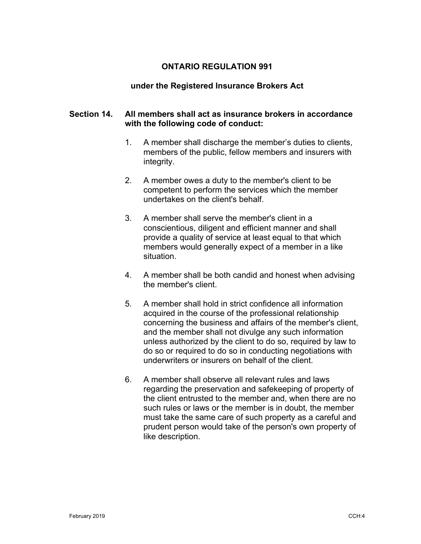### **ONTARIO REGULATION 991**

#### **under the Registered Insurance Brokers Act**

### **Section 14. All members shall act as insurance brokers in accordance with the following code of conduct:**

- 1. A member shall discharge the member's duties to clients, members of the public, fellow members and insurers with integrity.
- 2. A member owes a duty to the member's client to be competent to perform the services which the member undertakes on the client's behalf.
- 3. A member shall serve the member's client in a conscientious, diligent and efficient manner and shall provide a quality of service at least equal to that which members would generally expect of a member in a like situation.
- 4. A member shall be both candid and honest when advising the member's client.
- 5. A member shall hold in strict confidence all information acquired in the course of the professional relationship concerning the business and affairs of the member's client, and the member shall not divulge any such information unless authorized by the client to do so, required by law to do so or required to do so in conducting negotiations with underwriters or insurers on behalf of the client.
- 6. A member shall observe all relevant rules and laws regarding the preservation and safekeeping of property of the client entrusted to the member and, when there are no such rules or laws or the member is in doubt, the member must take the same care of such property as a careful and prudent person would take of the person's own property of like description.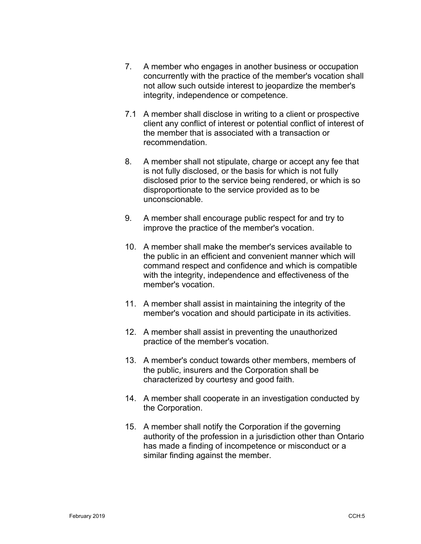- 7. A member who engages in another business or occupation concurrently with the practice of the member's vocation shall not allow such outside interest to jeopardize the member's integrity, independence or competence.
- 7.1 A member shall disclose in writing to a client or prospective client any conflict of interest or potential conflict of interest of the member that is associated with a transaction or recommendation.
- 8. A member shall not stipulate, charge or accept any fee that is not fully disclosed, or the basis for which is not fully disclosed prior to the service being rendered, or which is so disproportionate to the service provided as to be unconscionable.
- 9. A member shall encourage public respect for and try to improve the practice of the member's vocation.
- 10. A member shall make the member's services available to the public in an efficient and convenient manner which will command respect and confidence and which is compatible with the integrity, independence and effectiveness of the member's vocation.
- 11. A member shall assist in maintaining the integrity of the member's vocation and should participate in its activities.
- 12. A member shall assist in preventing the unauthorized practice of the member's vocation.
- 13. A member's conduct towards other members, members of the public, insurers and the Corporation shall be characterized by courtesy and good faith.
- 14. A member shall cooperate in an investigation conducted by the Corporation.
- 15. A member shall notify the Corporation if the governing authority of the profession in a jurisdiction other than Ontario has made a finding of incompetence or misconduct or a similar finding against the member.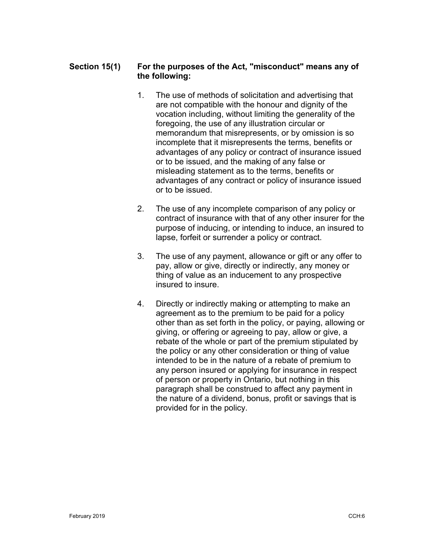# **Section 15(1) For the purposes of the Act, "misconduct" means any of the following:**

- 1. The use of methods of solicitation and advertising that are not compatible with the honour and dignity of the vocation including, without limiting the generality of the foregoing, the use of any illustration circular or memorandum that misrepresents, or by omission is so incomplete that it misrepresents the terms, benefits or advantages of any policy or contract of insurance issued or to be issued, and the making of any false or misleading statement as to the terms, benefits or advantages of any contract or policy of insurance issued or to be issued.
- 2. The use of any incomplete comparison of any policy or contract of insurance with that of any other insurer for the purpose of inducing, or intending to induce, an insured to lapse, forfeit or surrender a policy or contract.
- 3. The use of any payment, allowance or gift or any offer to pay, allow or give, directly or indirectly, any money or thing of value as an inducement to any prospective insured to insure.
- 4. Directly or indirectly making or attempting to make an agreement as to the premium to be paid for a policy other than as set forth in the policy, or paying, allowing or giving, or offering or agreeing to pay, allow or give, a rebate of the whole or part of the premium stipulated by the policy or any other consideration or thing of value intended to be in the nature of a rebate of premium to any person insured or applying for insurance in respect of person or property in Ontario, but nothing in this paragraph shall be construed to affect any payment in the nature of a dividend, bonus, profit or savings that is provided for in the policy.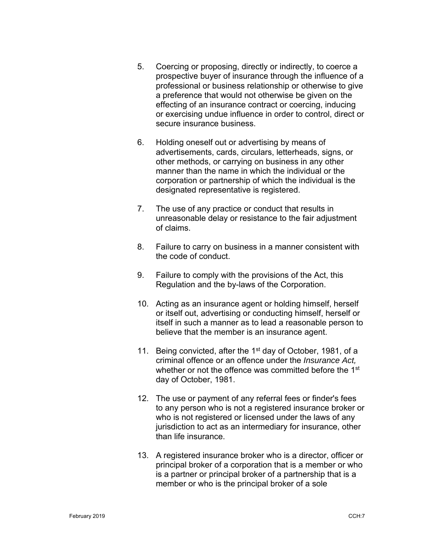- 5. Coercing or proposing, directly or indirectly, to coerce a prospective buyer of insurance through the influence of a professional or business relationship or otherwise to give a preference that would not otherwise be given on the effecting of an insurance contract or coercing, inducing or exercising undue influence in order to control, direct or secure insurance business.
- 6. Holding oneself out or advertising by means of advertisements, cards, circulars, letterheads, signs, or other methods, or carrying on business in any other manner than the name in which the individual or the corporation or partnership of which the individual is the designated representative is registered.
- 7. The use of any practice or conduct that results in unreasonable delay or resistance to the fair adjustment of claims.
- 8. Failure to carry on business in a manner consistent with the code of conduct.
- 9. Failure to comply with the provisions of the Act, this Regulation and the by-laws of the Corporation.
- 10. Acting as an insurance agent or holding himself, herself or itself out, advertising or conducting himself, herself or itself in such a manner as to lead a reasonable person to believe that the member is an insurance agent.
- 11. Being convicted, after the 1<sup>st</sup> day of October, 1981, of a criminal offence or an offence under the *Insurance Act,*  whether or not the offence was committed before the 1<sup>st</sup> day of October, 1981.
- 12. The use or payment of any referral fees or finder's fees to any person who is not a registered insurance broker or who is not registered or licensed under the laws of any jurisdiction to act as an intermediary for insurance, other than life insurance.
- 13. A registered insurance broker who is a director, officer or principal broker of a corporation that is a member or who is a partner or principal broker of a partnership that is a member or who is the principal broker of a sole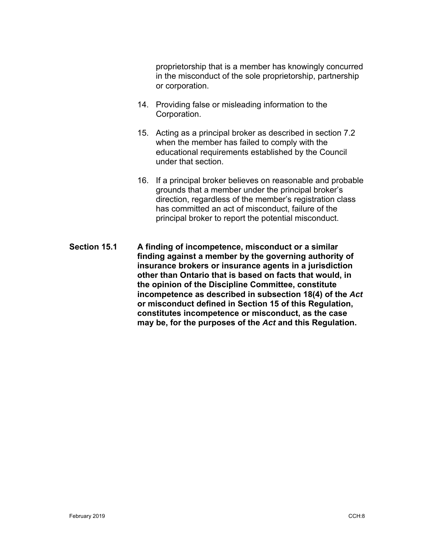proprietorship that is a member has knowingly concurred in the misconduct of the sole proprietorship, partnership or corporation.

- 14. Providing false or misleading information to the Corporation.
- 15. Acting as a principal broker as described in section 7.2 when the member has failed to comply with the educational requirements established by the Council under that section.
- 16. If a principal broker believes on reasonable and probable grounds that a member under the principal broker's direction, regardless of the member's registration class has committed an act of misconduct, failure of the principal broker to report the potential misconduct.
- **Section 15.1 A finding of incompetence, misconduct or a similar finding against a member by the governing authority of insurance brokers or insurance agents in a jurisdiction other than Ontario that is based on facts that would, in the opinion of the Discipline Committee, constitute incompetence as described in subsection 18(4) of the** *Act* **or misconduct defined in Section 15 of this Regulation, constitutes incompetence or misconduct, as the case may be, for the purposes of the** *Act* **and this Regulation.**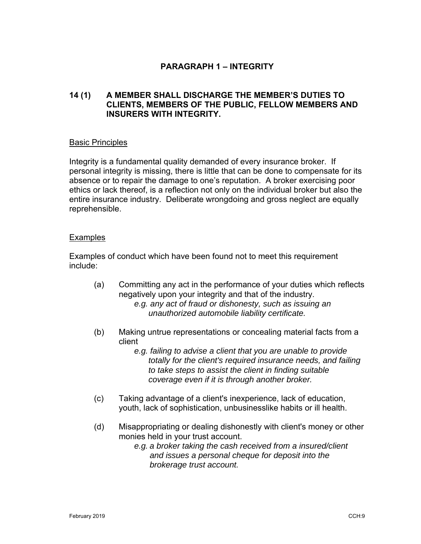# **PARAGRAPH 1 – INTEGRITY**

# **14 (1) A MEMBER SHALL DISCHARGE THE MEMBER'S DUTIES TO CLIENTS, MEMBERS OF THE PUBLIC, FELLOW MEMBERS AND INSURERS WITH INTEGRITY.**

#### Basic Principles

Integrity is a fundamental quality demanded of every insurance broker. If personal integrity is missing, there is little that can be done to compensate for its absence or to repair the damage to one's reputation. A broker exercising poor ethics or lack thereof, is a reflection not only on the individual broker but also the entire insurance industry. Deliberate wrongdoing and gross neglect are equally reprehensible.

### **Examples**

Examples of conduct which have been found not to meet this requirement include:

- (a) Committing any act in the performance of your duties which reflects negatively upon your integrity and that of the industry. *e.g. any act of fraud or dishonesty, such as issuing an unauthorized automobile liability certificate.*
- (b) Making untrue representations or concealing material facts from a client
	- *e.g. failing to advise a client that you are unable to provide totally for the client's required insurance needs, and failing to take steps to assist the client in finding suitable coverage even if it is through another broker.*
- (c) Taking advantage of a client's inexperience, lack of education, youth, lack of sophistication, unbusinesslike habits or ill health.
- (d) Misappropriating or dealing dishonestly with client's money or other monies held in your trust account.
	- *e.g. a broker taking the cash received from a insured/client and issues a personal cheque for deposit into the brokerage trust account.*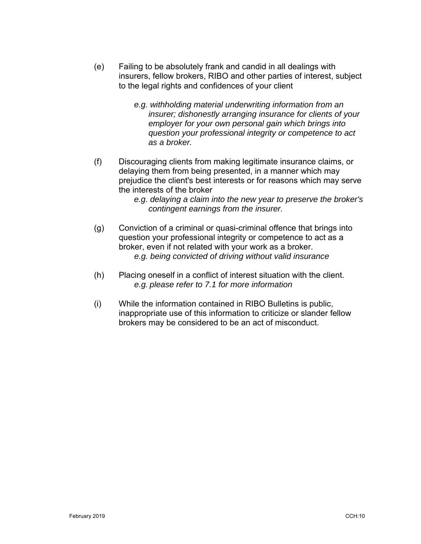- (e) Failing to be absolutely frank and candid in all dealings with insurers, fellow brokers, RIBO and other parties of interest, subject to the legal rights and confidences of your client
	- *e.g. withholding material underwriting information from an insurer; dishonestly arranging insurance for clients of your employer for your own personal gain which brings into question your professional integrity or competence to act as a broker.*
- (f) Discouraging clients from making legitimate insurance claims, or delaying them from being presented, in a manner which may prejudice the client's best interests or for reasons which may serve the interests of the broker
	- *e.g. delaying a claim into the new year to preserve the broker's contingent earnings from the insurer.*
- (g) Conviction of a criminal or quasi-criminal offence that brings into question your professional integrity or competence to act as a broker, even if not related with your work as a broker. *e.g. being convicted of driving without valid insurance*
- (h) Placing oneself in a conflict of interest situation with the client. *e.g. please refer to 7.1 for more information*
- (i) While the information contained in RIBO Bulletins is public, inappropriate use of this information to criticize or slander fellow brokers may be considered to be an act of misconduct.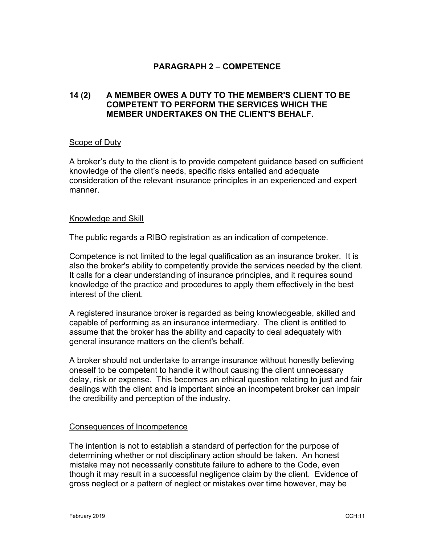### **PARAGRAPH 2 – COMPETENCE**

## **14 (2) A MEMBER OWES A DUTY TO THE MEMBER'S CLIENT TO BE COMPETENT TO PERFORM THE SERVICES WHICH THE MEMBER UNDERTAKES ON THE CLIENT'S BEHALF.**

#### Scope of Duty

A broker's duty to the client is to provide competent guidance based on sufficient knowledge of the client's needs, specific risks entailed and adequate consideration of the relevant insurance principles in an experienced and expert manner.

#### Knowledge and Skill

The public regards a RIBO registration as an indication of competence.

Competence is not limited to the legal qualification as an insurance broker. It is also the broker's ability to competently provide the services needed by the client. It calls for a clear understanding of insurance principles, and it requires sound knowledge of the practice and procedures to apply them effectively in the best interest of the client.

A registered insurance broker is regarded as being knowledgeable, skilled and capable of performing as an insurance intermediary. The client is entitled to assume that the broker has the ability and capacity to deal adequately with general insurance matters on the client's behalf.

A broker should not undertake to arrange insurance without honestly believing oneself to be competent to handle it without causing the client unnecessary delay, risk or expense. This becomes an ethical question relating to just and fair dealings with the client and is important since an incompetent broker can impair the credibility and perception of the industry.

#### Consequences of Incompetence

The intention is not to establish a standard of perfection for the purpose of determining whether or not disciplinary action should be taken. An honest mistake may not necessarily constitute failure to adhere to the Code, even though it may result in a successful negligence claim by the client. Evidence of gross neglect or a pattern of neglect or mistakes over time however, may be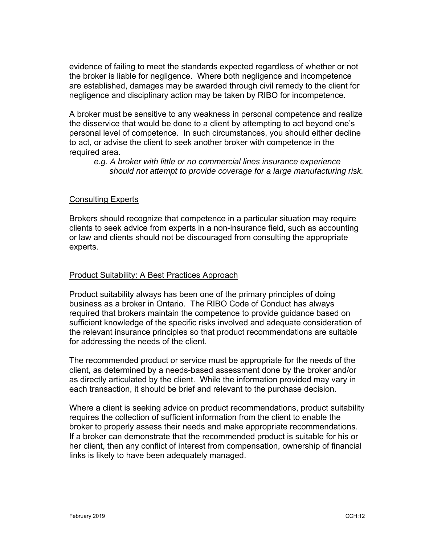evidence of failing to meet the standards expected regardless of whether or not the broker is liable for negligence. Where both negligence and incompetence are established, damages may be awarded through civil remedy to the client for negligence and disciplinary action may be taken by RIBO for incompetence.

A broker must be sensitive to any weakness in personal competence and realize the disservice that would be done to a client by attempting to act beyond one's personal level of competence. In such circumstances, you should either decline to act, or advise the client to seek another broker with competence in the required area.

*e.g. A broker with little or no commercial lines insurance experience should not attempt to provide coverage for a large manufacturing risk.* 

#### Consulting Experts

Brokers should recognize that competence in a particular situation may require clients to seek advice from experts in a non-insurance field, such as accounting or law and clients should not be discouraged from consulting the appropriate experts.

#### Product Suitability: A Best Practices Approach

Product suitability always has been one of the primary principles of doing business as a broker in Ontario. The RIBO Code of Conduct has always required that brokers maintain the competence to provide guidance based on sufficient knowledge of the specific risks involved and adequate consideration of the relevant insurance principles so that product recommendations are suitable for addressing the needs of the client.

The recommended product or service must be appropriate for the needs of the client, as determined by a needs-based assessment done by the broker and/or as directly articulated by the client. While the information provided may vary in each transaction, it should be brief and relevant to the purchase decision.

Where a client is seeking advice on product recommendations, product suitability requires the collection of sufficient information from the client to enable the broker to properly assess their needs and make appropriate recommendations. If a broker can demonstrate that the recommended product is suitable for his or her client, then any conflict of interest from compensation, ownership of financial links is likely to have been adequately managed.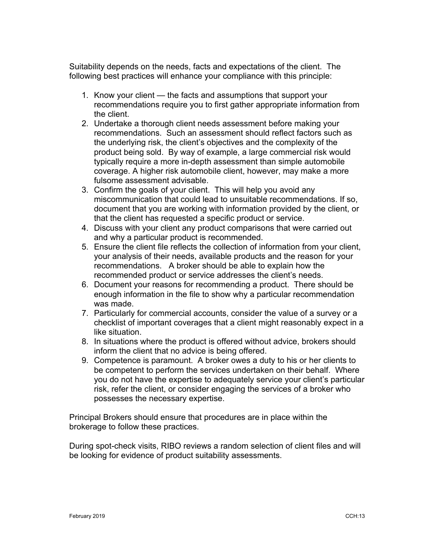Suitability depends on the needs, facts and expectations of the client. The following best practices will enhance your compliance with this principle:

- 1. Know your client the facts and assumptions that support your recommendations require you to first gather appropriate information from the client.
- 2. Undertake a thorough client needs assessment before making your recommendations. Such an assessment should reflect factors such as the underlying risk, the client's objectives and the complexity of the product being sold. By way of example, a large commercial risk would typically require a more in-depth assessment than simple automobile coverage. A higher risk automobile client, however, may make a more fulsome assessment advisable.
- 3. Confirm the goals of your client. This will help you avoid any miscommunication that could lead to unsuitable recommendations. If so, document that you are working with information provided by the client, or that the client has requested a specific product or service.
- 4. Discuss with your client any product comparisons that were carried out and why a particular product is recommended.
- 5. Ensure the client file reflects the collection of information from your client, your analysis of their needs, available products and the reason for your recommendations. A broker should be able to explain how the recommended product or service addresses the client's needs.
- 6. Document your reasons for recommending a product. There should be enough information in the file to show why a particular recommendation was made.
- 7. Particularly for commercial accounts, consider the value of a survey or a checklist of important coverages that a client might reasonably expect in a like situation.
- 8. In situations where the product is offered without advice, brokers should inform the client that no advice is being offered.
- 9. Competence is paramount. A broker owes a duty to his or her clients to be competent to perform the services undertaken on their behalf. Where you do not have the expertise to adequately service your client's particular risk, refer the client, or consider engaging the services of a broker who possesses the necessary expertise.

Principal Brokers should ensure that procedures are in place within the brokerage to follow these practices.

During spot-check visits, RIBO reviews a random selection of client files and will be looking for evidence of product suitability assessments.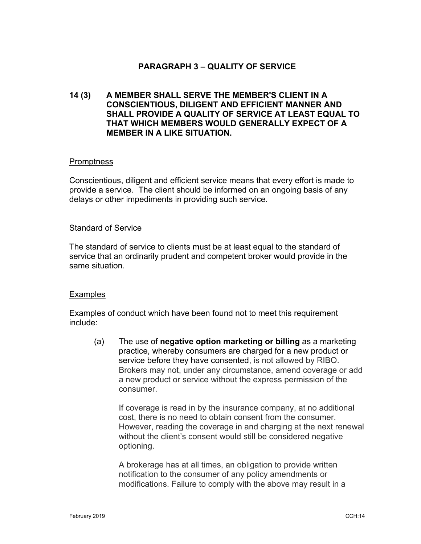# **PARAGRAPH 3 – QUALITY OF SERVICE**

# **14 (3) A MEMBER SHALL SERVE THE MEMBER'S CLIENT IN A CONSCIENTIOUS, DILIGENT AND EFFICIENT MANNER AND SHALL PROVIDE A QUALITY OF SERVICE AT LEAST EQUAL TO THAT WHICH MEMBERS WOULD GENERALLY EXPECT OF A MEMBER IN A LIKE SITUATION.**

#### **Promptness**

Conscientious, diligent and efficient service means that every effort is made to provide a service. The client should be informed on an ongoing basis of any delays or other impediments in providing such service.

#### Standard of Service

The standard of service to clients must be at least equal to the standard of service that an ordinarily prudent and competent broker would provide in the same situation.

#### **Examples**

Examples of conduct which have been found not to meet this requirement include:

(a) The use of **negative option marketing or billing** as a marketing practice, whereby consumers are charged for a new product or service before they have consented, is not allowed by RIBO. Brokers may not, under any circumstance, amend coverage or add a new product or service without the express permission of the consumer.

If coverage is read in by the insurance company, at no additional cost, there is no need to obtain consent from the consumer. However, reading the coverage in and charging at the next renewal without the client's consent would still be considered negative optioning.

A brokerage has at all times, an obligation to provide written notification to the consumer of any policy amendments or modifications. Failure to comply with the above may result in a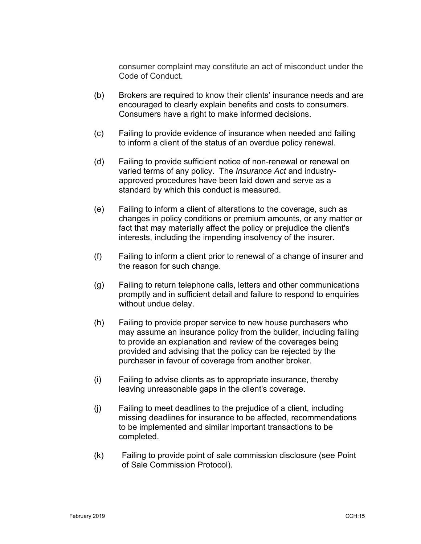consumer complaint may constitute an act of misconduct under the Code of Conduct.

- (b) Brokers are required to know their clients' insurance needs and are encouraged to clearly explain benefits and costs to consumers. Consumers have a right to make informed decisions.
- (c) Failing to provide evidence of insurance when needed and failing to inform a client of the status of an overdue policy renewal.
- (d) Failing to provide sufficient notice of non-renewal or renewal on varied terms of any policy. The *Insurance Act* and industryapproved procedures have been laid down and serve as a standard by which this conduct is measured.
- (e) Failing to inform a client of alterations to the coverage, such as changes in policy conditions or premium amounts, or any matter or fact that may materially affect the policy or prejudice the client's interests, including the impending insolvency of the insurer.
- (f) Failing to inform a client prior to renewal of a change of insurer and the reason for such change.
- (g) Failing to return telephone calls, letters and other communications promptly and in sufficient detail and failure to respond to enquiries without undue delay.
- (h) Failing to provide proper service to new house purchasers who may assume an insurance policy from the builder, including failing to provide an explanation and review of the coverages being provided and advising that the policy can be rejected by the purchaser in favour of coverage from another broker.
- (i) Failing to advise clients as to appropriate insurance, thereby leaving unreasonable gaps in the client's coverage.
- (j) Failing to meet deadlines to the prejudice of a client, including missing deadlines for insurance to be affected, recommendations to be implemented and similar important transactions to be completed.
- (k) Failing to provide point of sale commission disclosure (see Point of Sale Commission Protocol).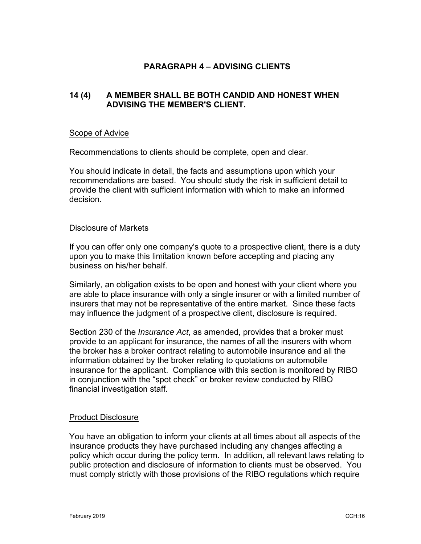# **PARAGRAPH 4 – ADVISING CLIENTS**

# **14 (4) A MEMBER SHALL BE BOTH CANDID AND HONEST WHEN ADVISING THE MEMBER'S CLIENT.**

#### Scope of Advice

Recommendations to clients should be complete, open and clear.

You should indicate in detail, the facts and assumptions upon which your recommendations are based. You should study the risk in sufficient detail to provide the client with sufficient information with which to make an informed decision.

#### Disclosure of Markets

If you can offer only one company's quote to a prospective client, there is a duty upon you to make this limitation known before accepting and placing any business on his/her behalf.

Similarly, an obligation exists to be open and honest with your client where you are able to place insurance with only a single insurer or with a limited number of insurers that may not be representative of the entire market. Since these facts may influence the judgment of a prospective client, disclosure is required.

Section 230 of the *Insurance Act*, as amended, provides that a broker must provide to an applicant for insurance, the names of all the insurers with whom the broker has a broker contract relating to automobile insurance and all the information obtained by the broker relating to quotations on automobile insurance for the applicant. Compliance with this section is monitored by RIBO in conjunction with the "spot check" or broker review conducted by RIBO financial investigation staff.

#### Product Disclosure

You have an obligation to inform your clients at all times about all aspects of the insurance products they have purchased including any changes affecting a policy which occur during the policy term. In addition, all relevant laws relating to public protection and disclosure of information to clients must be observed. You must comply strictly with those provisions of the RIBO regulations which require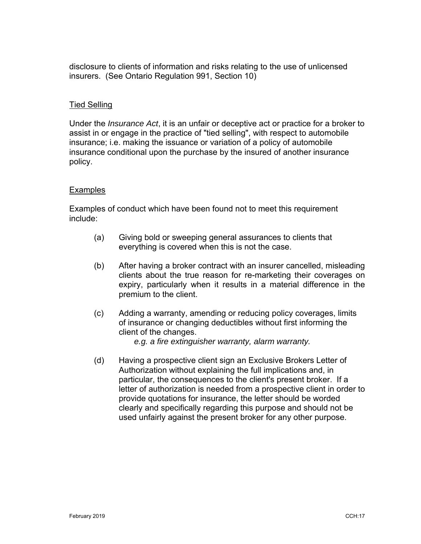disclosure to clients of information and risks relating to the use of unlicensed insurers. (See Ontario Regulation 991, Section 10)

### Tied Selling

Under the *Insurance Act*, it is an unfair or deceptive act or practice for a broker to assist in or engage in the practice of "tied selling", with respect to automobile insurance; i.e. making the issuance or variation of a policy of automobile insurance conditional upon the purchase by the insured of another insurance policy.

### Examples

Examples of conduct which have been found not to meet this requirement include:

- (a) Giving bold or sweeping general assurances to clients that everything is covered when this is not the case.
- (b) After having a broker contract with an insurer cancelled, misleading clients about the true reason for re-marketing their coverages on expiry, particularly when it results in a material difference in the premium to the client.
- (c) Adding a warranty, amending or reducing policy coverages, limits of insurance or changing deductibles without first informing the client of the changes.

 *e.g. a fire extinguisher warranty, alarm warranty.* 

(d) Having a prospective client sign an Exclusive Brokers Letter of Authorization without explaining the full implications and, in particular, the consequences to the client's present broker. If a letter of authorization is needed from a prospective client in order to provide quotations for insurance, the letter should be worded clearly and specifically regarding this purpose and should not be used unfairly against the present broker for any other purpose.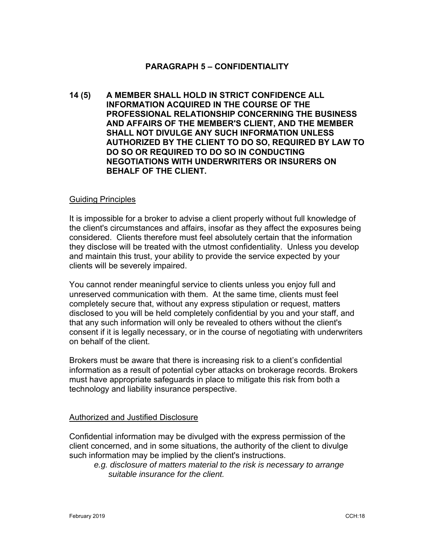### **PARAGRAPH 5 – CONFIDENTIALITY**

**14 (5) A MEMBER SHALL HOLD IN STRICT CONFIDENCE ALL INFORMATION ACQUIRED IN THE COURSE OF THE PROFESSIONAL RELATIONSHIP CONCERNING THE BUSINESS AND AFFAIRS OF THE MEMBER'S CLIENT, AND THE MEMBER SHALL NOT DIVULGE ANY SUCH INFORMATION UNLESS AUTHORIZED BY THE CLIENT TO DO SO, REQUIRED BY LAW TO DO SO OR REQUIRED TO DO SO IN CONDUCTING NEGOTIATIONS WITH UNDERWRITERS OR INSURERS ON BEHALF OF THE CLIENT.**

#### Guiding Principles

It is impossible for a broker to advise a client properly without full knowledge of the client's circumstances and affairs, insofar as they affect the exposures being considered. Clients therefore must feel absolutely certain that the information they disclose will be treated with the utmost confidentiality. Unless you develop and maintain this trust, your ability to provide the service expected by your clients will be severely impaired.

You cannot render meaningful service to clients unless you enjoy full and unreserved communication with them. At the same time, clients must feel completely secure that, without any express stipulation or request, matters disclosed to you will be held completely confidential by you and your staff, and that any such information will only be revealed to others without the client's consent if it is legally necessary, or in the course of negotiating with underwriters on behalf of the client.

Brokers must be aware that there is increasing risk to a client's confidential information as a result of potential cyber attacks on brokerage records. Brokers must have appropriate safeguards in place to mitigate this risk from both a technology and liability insurance perspective.

#### Authorized and Justified Disclosure

Confidential information may be divulged with the express permission of the client concerned, and in some situations, the authority of the client to divulge such information may be implied by the client's instructions.

 *e.g. disclosure of matters material to the risk is necessary to arrange suitable insurance for the client.*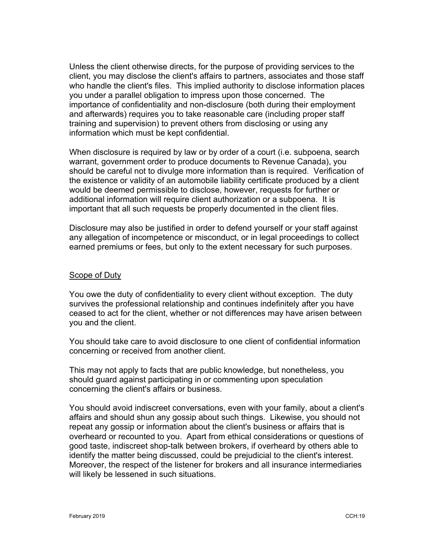Unless the client otherwise directs, for the purpose of providing services to the client, you may disclose the client's affairs to partners, associates and those staff who handle the client's files. This implied authority to disclose information places you under a parallel obligation to impress upon those concerned. The importance of confidentiality and non-disclosure (both during their employment and afterwards) requires you to take reasonable care (including proper staff training and supervision) to prevent others from disclosing or using any information which must be kept confidential.

When disclosure is required by law or by order of a court (i.e. subpoena, search warrant, government order to produce documents to Revenue Canada), you should be careful not to divulge more information than is required. Verification of the existence or validity of an automobile liability certificate produced by a client would be deemed permissible to disclose, however, requests for further or additional information will require client authorization or a subpoena. It is important that all such requests be properly documented in the client files.

Disclosure may also be justified in order to defend yourself or your staff against any allegation of incompetence or misconduct, or in legal proceedings to collect earned premiums or fees, but only to the extent necessary for such purposes.

### Scope of Duty

You owe the duty of confidentiality to every client without exception. The duty survives the professional relationship and continues indefinitely after you have ceased to act for the client, whether or not differences may have arisen between you and the client.

You should take care to avoid disclosure to one client of confidential information concerning or received from another client.

This may not apply to facts that are public knowledge, but nonetheless, you should guard against participating in or commenting upon speculation concerning the client's affairs or business.

You should avoid indiscreet conversations, even with your family, about a client's affairs and should shun any gossip about such things. Likewise, you should not repeat any gossip or information about the client's business or affairs that is overheard or recounted to you. Apart from ethical considerations or questions of good taste, indiscreet shop-talk between brokers, if overheard by others able to identify the matter being discussed, could be prejudicial to the client's interest. Moreover, the respect of the listener for brokers and all insurance intermediaries will likely be lessened in such situations.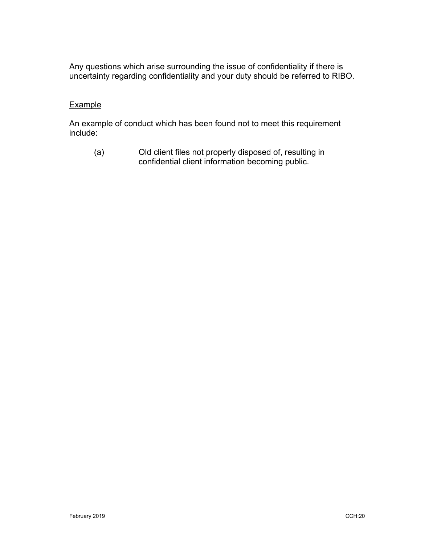Any questions which arise surrounding the issue of confidentiality if there is uncertainty regarding confidentiality and your duty should be referred to RIBO.

### **Example**

An example of conduct which has been found not to meet this requirement include:

(a) Old client files not properly disposed of, resulting in confidential client information becoming public.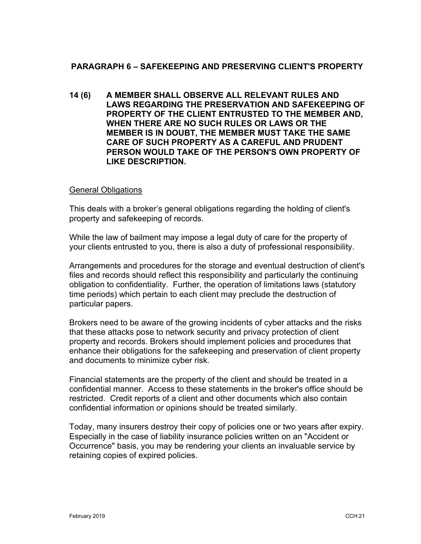# **PARAGRAPH 6 – SAFEKEEPING AND PRESERVING CLIENT'S PROPERTY**

**14 (6) A MEMBER SHALL OBSERVE ALL RELEVANT RULES AND LAWS REGARDING THE PRESERVATION AND SAFEKEEPING OF PROPERTY OF THE CLIENT ENTRUSTED TO THE MEMBER AND, WHEN THERE ARE NO SUCH RULES OR LAWS OR THE MEMBER IS IN DOUBT, THE MEMBER MUST TAKE THE SAME CARE OF SUCH PROPERTY AS A CAREFUL AND PRUDENT PERSON WOULD TAKE OF THE PERSON'S OWN PROPERTY OF LIKE DESCRIPTION.** 

### General Obligations

This deals with a broker's general obligations regarding the holding of client's property and safekeeping of records.

While the law of bailment may impose a legal duty of care for the property of your clients entrusted to you, there is also a duty of professional responsibility.

Arrangements and procedures for the storage and eventual destruction of client's files and records should reflect this responsibility and particularly the continuing obligation to confidentiality. Further, the operation of limitations laws (statutory time periods) which pertain to each client may preclude the destruction of particular papers.

Brokers need to be aware of the growing incidents of cyber attacks and the risks that these attacks pose to network security and privacy protection of client property and records. Brokers should implement policies and procedures that enhance their obligations for the safekeeping and preservation of client property and documents to minimize cyber risk.

Financial statements are the property of the client and should be treated in a confidential manner. Access to these statements in the broker's office should be restricted. Credit reports of a client and other documents which also contain confidential information or opinions should be treated similarly.

Today, many insurers destroy their copy of policies one or two years after expiry. Especially in the case of liability insurance policies written on an "Accident or Occurrence" basis, you may be rendering your clients an invaluable service by retaining copies of expired policies.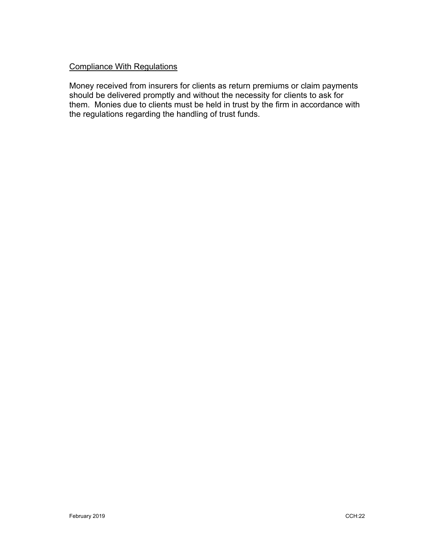# Compliance With Regulations

Money received from insurers for clients as return premiums or claim payments should be delivered promptly and without the necessity for clients to ask for them. Monies due to clients must be held in trust by the firm in accordance with the regulations regarding the handling of trust funds.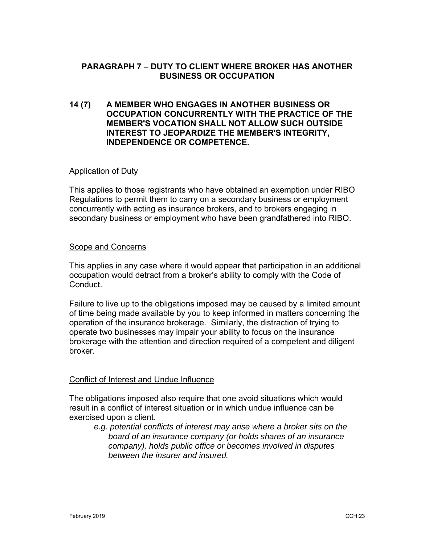# **PARAGRAPH 7 – DUTY TO CLIENT WHERE BROKER HAS ANOTHER BUSINESS OR OCCUPATION**

### **14 (7) A MEMBER WHO ENGAGES IN ANOTHER BUSINESS OR OCCUPATION CONCURRENTLY WITH THE PRACTICE OF THE MEMBER'S VOCATION SHALL NOT ALLOW SUCH OUTSIDE INTEREST TO JEOPARDIZE THE MEMBER'S INTEGRITY, INDEPENDENCE OR COMPETENCE.**

#### Application of Duty

This applies to those registrants who have obtained an exemption under RIBO Regulations to permit them to carry on a secondary business or employment concurrently with acting as insurance brokers, and to brokers engaging in secondary business or employment who have been grandfathered into RIBO.

#### Scope and Concerns

This applies in any case where it would appear that participation in an additional occupation would detract from a broker's ability to comply with the Code of Conduct.

Failure to live up to the obligations imposed may be caused by a limited amount of time being made available by you to keep informed in matters concerning the operation of the insurance brokerage. Similarly, the distraction of trying to operate two businesses may impair your ability to focus on the insurance brokerage with the attention and direction required of a competent and diligent broker.

# Conflict of Interest and Undue Influence

The obligations imposed also require that one avoid situations which would result in a conflict of interest situation or in which undue influence can be exercised upon a client.

 *e.g. potential conflicts of interest may arise where a broker sits on the board of an insurance company (or holds shares of an insurance company), holds public office or becomes involved in disputes between the insurer and insured.*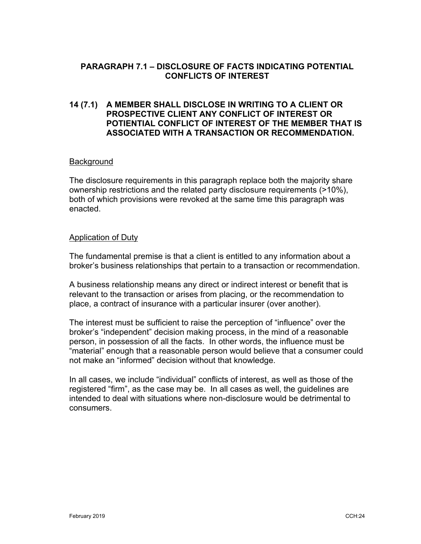# **PARAGRAPH 7.1 – DISCLOSURE OF FACTS INDICATING POTENTIAL CONFLICTS OF INTEREST**

# **14 (7.1) A MEMBER SHALL DISCLOSE IN WRITING TO A CLIENT OR PROSPECTIVE CLIENT ANY CONFLICT OF INTEREST OR POTIENTIAL CONFLICT OF INTEREST OF THE MEMBER THAT IS ASSOCIATED WITH A TRANSACTION OR RECOMMENDATION.**

### **Background**

The disclosure requirements in this paragraph replace both the majority share ownership restrictions and the related party disclosure requirements (>10%), both of which provisions were revoked at the same time this paragraph was enacted.

#### Application of Duty

The fundamental premise is that a client is entitled to any information about a broker's business relationships that pertain to a transaction or recommendation.

A business relationship means any direct or indirect interest or benefit that is relevant to the transaction or arises from placing, or the recommendation to place, a contract of insurance with a particular insurer (over another).

The interest must be sufficient to raise the perception of "influence" over the broker's "independent" decision making process, in the mind of a reasonable person, in possession of all the facts. In other words, the influence must be "material" enough that a reasonable person would believe that a consumer could not make an "informed" decision without that knowledge.

In all cases, we include "individual" conflicts of interest, as well as those of the registered "firm", as the case may be. In all cases as well, the guidelines are intended to deal with situations where non-disclosure would be detrimental to consumers.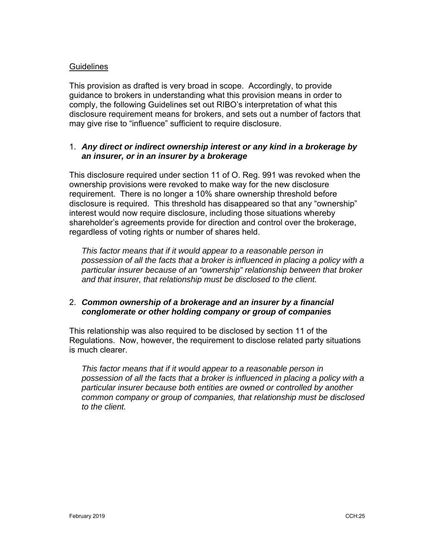### **Guidelines**

This provision as drafted is very broad in scope. Accordingly, to provide guidance to brokers in understanding what this provision means in order to comply, the following Guidelines set out RIBO's interpretation of what this disclosure requirement means for brokers, and sets out a number of factors that may give rise to "influence" sufficient to require disclosure.

# 1. *Any direct or indirect ownership interest or any kind in a brokerage by an insurer, or in an insurer by a brokerage*

This disclosure required under section 11 of O. Reg. 991 was revoked when the ownership provisions were revoked to make way for the new disclosure requirement. There is no longer a 10% share ownership threshold before disclosure is required. This threshold has disappeared so that any "ownership" interest would now require disclosure, including those situations whereby shareholder's agreements provide for direction and control over the brokerage, regardless of voting rights or number of shares held.

*This factor means that if it would appear to a reasonable person in possession of all the facts that a broker is influenced in placing a policy with a particular insurer because of an "ownership" relationship between that broker and that insurer, that relationship must be disclosed to the client.* 

# 2. *Common ownership of a brokerage and an insurer by a financial conglomerate or other holding company or group of companies*

This relationship was also required to be disclosed by section 11 of the Regulations. Now, however, the requirement to disclose related party situations is much clearer.

*This factor means that if it would appear to a reasonable person in possession of all the facts that a broker is influenced in placing a policy with a particular insurer because both entities are owned or controlled by another common company or group of companies, that relationship must be disclosed to the client.*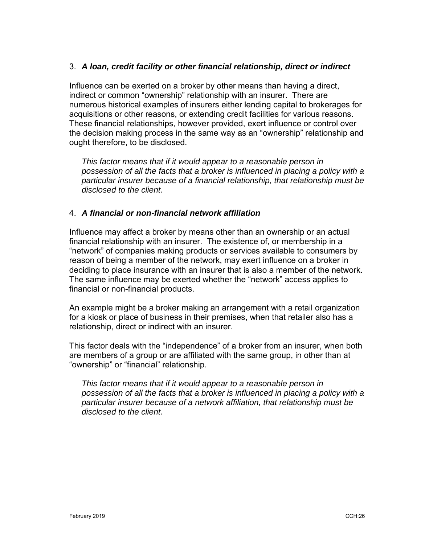# 3. *A loan, credit facility or other financial relationship, direct or indirect*

Influence can be exerted on a broker by other means than having a direct, indirect or common "ownership" relationship with an insurer. There are numerous historical examples of insurers either lending capital to brokerages for acquisitions or other reasons, or extending credit facilities for various reasons. These financial relationships, however provided, exert influence or control over the decision making process in the same way as an "ownership" relationship and ought therefore, to be disclosed.

*This factor means that if it would appear to a reasonable person in possession of all the facts that a broker is influenced in placing a policy with a particular insurer because of a financial relationship, that relationship must be disclosed to the client.*

# 4. *A financial or non-financial network affiliation*

Influence may affect a broker by means other than an ownership or an actual financial relationship with an insurer. The existence of, or membership in a "network" of companies making products or services available to consumers by reason of being a member of the network, may exert influence on a broker in deciding to place insurance with an insurer that is also a member of the network. The same influence may be exerted whether the "network" access applies to financial or non-financial products.

An example might be a broker making an arrangement with a retail organization for a kiosk or place of business in their premises, when that retailer also has a relationship, direct or indirect with an insurer.

This factor deals with the "independence" of a broker from an insurer, when both are members of a group or are affiliated with the same group, in other than at "ownership" or "financial" relationship.

*This factor means that if it would appear to a reasonable person in possession of all the facts that a broker is influenced in placing a policy with a particular insurer because of a network affiliation, that relationship must be disclosed to the client.*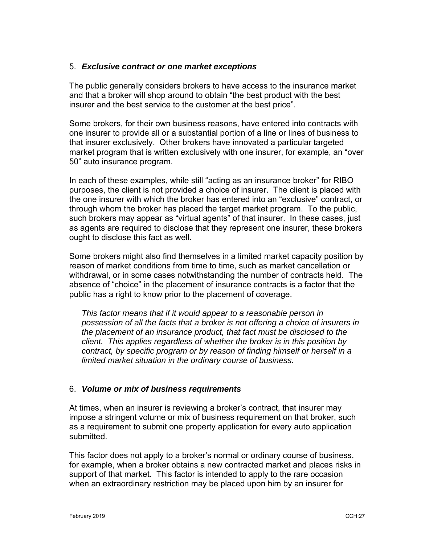### 5. *Exclusive contract or one market exceptions*

The public generally considers brokers to have access to the insurance market and that a broker will shop around to obtain "the best product with the best insurer and the best service to the customer at the best price".

Some brokers, for their own business reasons, have entered into contracts with one insurer to provide all or a substantial portion of a line or lines of business to that insurer exclusively. Other brokers have innovated a particular targeted market program that is written exclusively with one insurer, for example, an "over 50" auto insurance program.

In each of these examples, while still "acting as an insurance broker" for RIBO purposes, the client is not provided a choice of insurer. The client is placed with the one insurer with which the broker has entered into an "exclusive" contract, or through whom the broker has placed the target market program. To the public, such brokers may appear as "virtual agents" of that insurer. In these cases, just as agents are required to disclose that they represent one insurer, these brokers ought to disclose this fact as well.

Some brokers might also find themselves in a limited market capacity position by reason of market conditions from time to time, such as market cancellation or withdrawal, or in some cases notwithstanding the number of contracts held. The absence of "choice" in the placement of insurance contracts is a factor that the public has a right to know prior to the placement of coverage.

*This factor means that if it would appear to a reasonable person in possession of all the facts that a broker is not offering a choice of insurers in the placement of an insurance product, that fact must be disclosed to the client. This applies regardless of whether the broker is in this position by contract, by specific program or by reason of finding himself or herself in a limited market situation in the ordinary course of business.* 

# 6. *Volume or mix of business requirements*

At times, when an insurer is reviewing a broker's contract, that insurer may impose a stringent volume or mix of business requirement on that broker, such as a requirement to submit one property application for every auto application submitted.

This factor does not apply to a broker's normal or ordinary course of business, for example, when a broker obtains a new contracted market and places risks in support of that market. This factor is intended to apply to the rare occasion when an extraordinary restriction may be placed upon him by an insurer for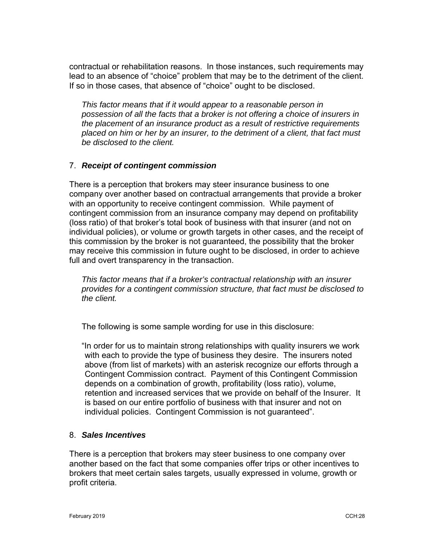contractual or rehabilitation reasons. In those instances, such requirements may lead to an absence of "choice" problem that may be to the detriment of the client. If so in those cases, that absence of "choice" ought to be disclosed.

*This factor means that if it would appear to a reasonable person in possession of all the facts that a broker is not offering a choice of insurers in the placement of an insurance product as a result of restrictive requirements placed on him or her by an insurer, to the detriment of a client, that fact must be disclosed to the client.* 

# 7. *Receipt of contingent commission*

There is a perception that brokers may steer insurance business to one company over another based on contractual arrangements that provide a broker with an opportunity to receive contingent commission. While payment of contingent commission from an insurance company may depend on profitability (loss ratio) of that broker's total book of business with that insurer (and not on individual policies), or volume or growth targets in other cases, and the receipt of this commission by the broker is not guaranteed, the possibility that the broker may receive this commission in future ought to be disclosed, in order to achieve full and overt transparency in the transaction.

*This factor means that if a broker's contractual relationship with an insurer provides for a contingent commission structure, that fact must be disclosed to the client.* 

The following is some sample wording for use in this disclosure:

"In order for us to maintain strong relationships with quality insurers we work with each to provide the type of business they desire. The insurers noted above (from list of markets) with an asterisk recognize our efforts through a Contingent Commission contract. Payment of this Contingent Commission depends on a combination of growth, profitability (loss ratio), volume, retention and increased services that we provide on behalf of the Insurer. It is based on our entire portfolio of business with that insurer and not on individual policies. Contingent Commission is not guaranteed".

# 8. *Sales Incentives*

There is a perception that brokers may steer business to one company over another based on the fact that some companies offer trips or other incentives to brokers that meet certain sales targets, usually expressed in volume, growth or profit criteria.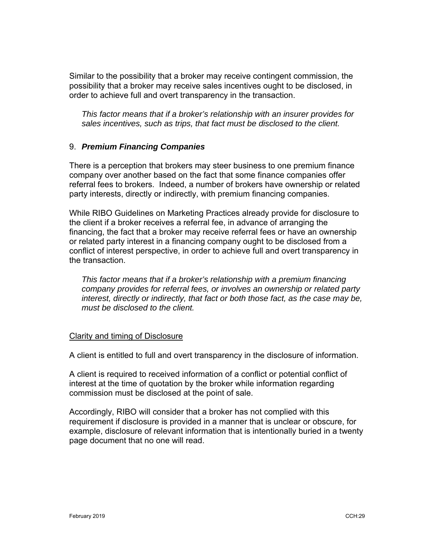Similar to the possibility that a broker may receive contingent commission, the possibility that a broker may receive sales incentives ought to be disclosed, in order to achieve full and overt transparency in the transaction.

*This factor means that if a broker's relationship with an insurer provides for sales incentives, such as trips, that fact must be disclosed to the client.*

### 9. *Premium Financing Companies*

There is a perception that brokers may steer business to one premium finance company over another based on the fact that some finance companies offer referral fees to brokers. Indeed, a number of brokers have ownership or related party interests, directly or indirectly, with premium financing companies.

While RIBO Guidelines on Marketing Practices already provide for disclosure to the client if a broker receives a referral fee, in advance of arranging the financing, the fact that a broker may receive referral fees or have an ownership or related party interest in a financing company ought to be disclosed from a conflict of interest perspective, in order to achieve full and overt transparency in the transaction.

*This factor means that if a broker's relationship with a premium financing company provides for referral fees, or involves an ownership or related party interest, directly or indirectly, that fact or both those fact, as the case may be, must be disclosed to the client.*

#### Clarity and timing of Disclosure

A client is entitled to full and overt transparency in the disclosure of information.

A client is required to received information of a conflict or potential conflict of interest at the time of quotation by the broker while information regarding commission must be disclosed at the point of sale.

Accordingly, RIBO will consider that a broker has not complied with this requirement if disclosure is provided in a manner that is unclear or obscure, for example, disclosure of relevant information that is intentionally buried in a twenty page document that no one will read.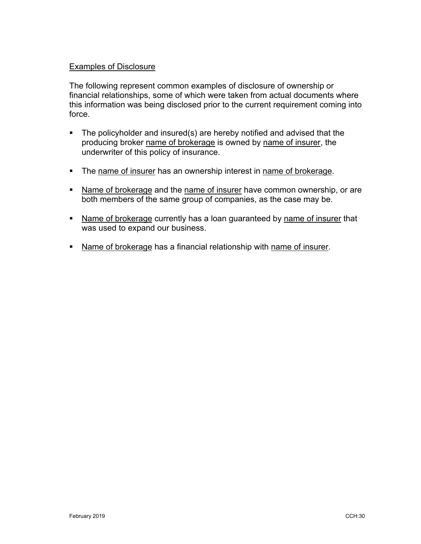### Examples of Disclosure

The following represent common examples of disclosure of ownership or financial relationships, some of which were taken from actual documents where this information was being disclosed prior to the current requirement coming into force.

- The policyholder and insured(s) are hereby notified and advised that the producing broker name of brokerage is owned by name of insurer, the underwriter of this policy of insurance.
- The name of insurer has an ownership interest in name of brokerage.
- Name of brokerage and the name of insurer have common ownership, or are both members of the same group of companies, as the case may be.
- Name of brokerage currently has a loan guaranteed by name of insurer that was used to expand our business.
- Name of brokerage has a financial relationship with name of insurer.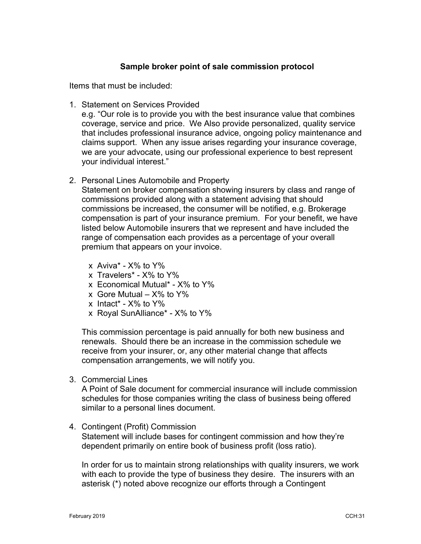# **Sample broker point of sale commission protocol**

Items that must be included:

1. Statement on Services Provided

e.g. "Our role is to provide you with the best insurance value that combines coverage, service and price. We Also provide personalized, quality service that includes professional insurance advice, ongoing policy maintenance and claims support. When any issue arises regarding your insurance coverage, we are your advocate, using our professional experience to best represent your individual interest."

2. Personal Lines Automobile and Property

Statement on broker compensation showing insurers by class and range of commissions provided along with a statement advising that should commissions be increased, the consumer will be notified, e.g. Brokerage compensation is part of your insurance premium. For your benefit, we have listed below Automobile insurers that we represent and have included the range of compensation each provides as a percentage of your overall premium that appears on your invoice.

- $x$  Aviva\*  $X\%$  to  $Y\%$
- x Travelers\* X% to Y%
- x Economical Mutual\* X% to Y%
- $x$  Gore Mutual  $X\%$  to  $Y\%$
- x Intact\* X% to Y%
- x Royal SunAlliance\* X% to Y%

This commission percentage is paid annually for both new business and renewals. Should there be an increase in the commission schedule we receive from your insurer, or, any other material change that affects compensation arrangements, we will notify you.

3. Commercial Lines

A Point of Sale document for commercial insurance will include commission schedules for those companies writing the class of business being offered similar to a personal lines document.

4. Contingent (Profit) Commission

Statement will include bases for contingent commission and how they're dependent primarily on entire book of business profit (loss ratio).

In order for us to maintain strong relationships with quality insurers, we work with each to provide the type of business they desire. The insurers with an asterisk (\*) noted above recognize our efforts through a Contingent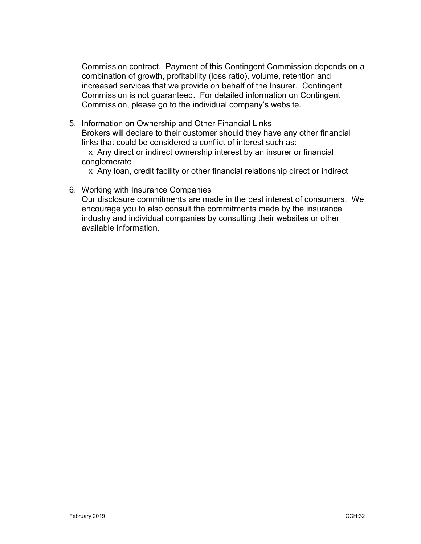Commission contract. Payment of this Contingent Commission depends on a combination of growth, profitability (loss ratio), volume, retention and increased services that we provide on behalf of the Insurer. Contingent Commission is not guaranteed. For detailed information on Contingent Commission, please go to the individual company's website.

5. Information on Ownership and Other Financial Links Brokers will declare to their customer should they have any other financial links that could be considered a conflict of interest such as:

 x Any direct or indirect ownership interest by an insurer or financial conglomerate

x Any loan, credit facility or other financial relationship direct or indirect

6. Working with Insurance Companies

Our disclosure commitments are made in the best interest of consumers. We encourage you to also consult the commitments made by the insurance industry and individual companies by consulting their websites or other available information.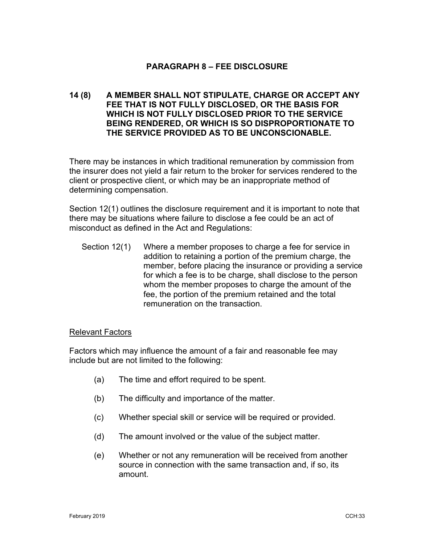# **PARAGRAPH 8 – FEE DISCLOSURE**

# **14 (8) A MEMBER SHALL NOT STIPULATE, CHARGE OR ACCEPT ANY FEE THAT IS NOT FULLY DISCLOSED, OR THE BASIS FOR WHICH IS NOT FULLY DISCLOSED PRIOR TO THE SERVICE BEING RENDERED, OR WHICH IS SO DISPROPORTIONATE TO THE SERVICE PROVIDED AS TO BE UNCONSCIONABLE.**

There may be instances in which traditional remuneration by commission from the insurer does not yield a fair return to the broker for services rendered to the client or prospective client, or which may be an inappropriate method of determining compensation.

Section 12(1) outlines the disclosure requirement and it is important to note that there may be situations where failure to disclose a fee could be an act of misconduct as defined in the Act and Regulations:

Section 12(1) Where a member proposes to charge a fee for service in addition to retaining a portion of the premium charge, the member, before placing the insurance or providing a service for which a fee is to be charge, shall disclose to the person whom the member proposes to charge the amount of the fee, the portion of the premium retained and the total remuneration on the transaction.

#### Relevant Factors

Factors which may influence the amount of a fair and reasonable fee may include but are not limited to the following:

- (a) The time and effort required to be spent.
- (b) The difficulty and importance of the matter.
- (c) Whether special skill or service will be required or provided.
- (d) The amount involved or the value of the subject matter.
- (e) Whether or not any remuneration will be received from another source in connection with the same transaction and, if so, its amount.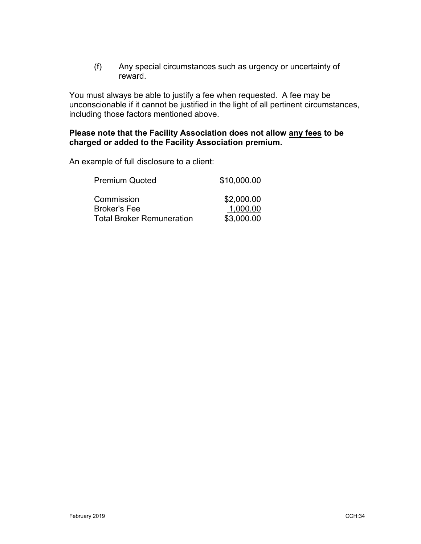(f) Any special circumstances such as urgency or uncertainty of reward.

You must always be able to justify a fee when requested. A fee may be unconscionable if it cannot be justified in the light of all pertinent circumstances, including those factors mentioned above.

# **Please note that the Facility Association does not allow any fees to be charged or added to the Facility Association premium.**

An example of full disclosure to a client:

| <b>Premium Quoted</b>            | \$10,000.00 |
|----------------------------------|-------------|
| Commission                       | \$2,000.00  |
| <b>Broker's Fee</b>              | 1,000.00    |
| <b>Total Broker Remuneration</b> | \$3,000.00  |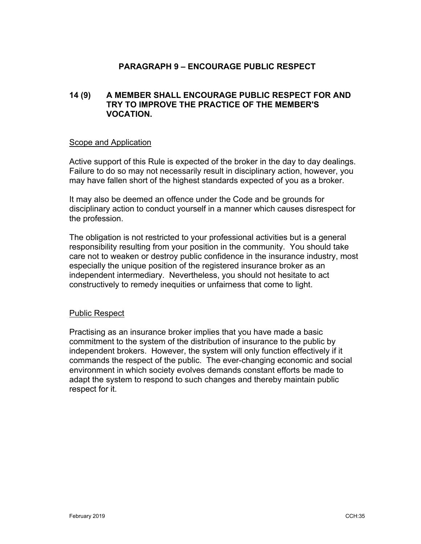# **PARAGRAPH 9 – ENCOURAGE PUBLIC RESPECT**

# **14 (9) A MEMBER SHALL ENCOURAGE PUBLIC RESPECT FOR AND TRY TO IMPROVE THE PRACTICE OF THE MEMBER'S VOCATION.**

#### Scope and Application

Active support of this Rule is expected of the broker in the day to day dealings. Failure to do so may not necessarily result in disciplinary action, however, you may have fallen short of the highest standards expected of you as a broker.

It may also be deemed an offence under the Code and be grounds for disciplinary action to conduct yourself in a manner which causes disrespect for the profession.

The obligation is not restricted to your professional activities but is a general responsibility resulting from your position in the community. You should take care not to weaken or destroy public confidence in the insurance industry, most especially the unique position of the registered insurance broker as an independent intermediary. Nevertheless, you should not hesitate to act constructively to remedy inequities or unfairness that come to light.

#### Public Respect

Practising as an insurance broker implies that you have made a basic commitment to the system of the distribution of insurance to the public by independent brokers. However, the system will only function effectively if it commands the respect of the public. The ever-changing economic and social environment in which society evolves demands constant efforts be made to adapt the system to respond to such changes and thereby maintain public respect for it.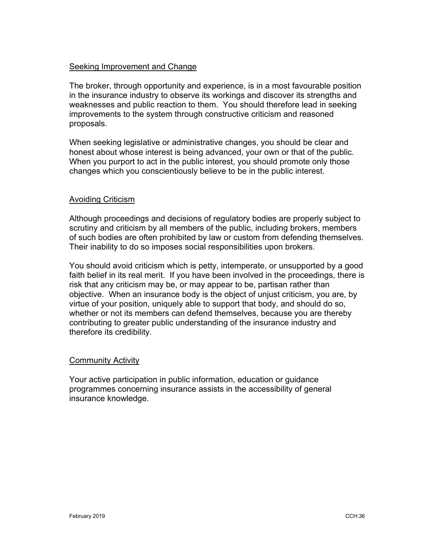### Seeking Improvement and Change

The broker, through opportunity and experience, is in a most favourable position in the insurance industry to observe its workings and discover its strengths and weaknesses and public reaction to them. You should therefore lead in seeking improvements to the system through constructive criticism and reasoned proposals.

When seeking legislative or administrative changes, you should be clear and honest about whose interest is being advanced, your own or that of the public. When you purport to act in the public interest, you should promote only those changes which you conscientiously believe to be in the public interest.

### Avoiding Criticism

Although proceedings and decisions of regulatory bodies are properly subject to scrutiny and criticism by all members of the public, including brokers, members of such bodies are often prohibited by law or custom from defending themselves. Their inability to do so imposes social responsibilities upon brokers.

You should avoid criticism which is petty, intemperate, or unsupported by a good faith belief in its real merit. If you have been involved in the proceedings, there is risk that any criticism may be, or may appear to be, partisan rather than objective. When an insurance body is the object of unjust criticism, you are, by virtue of your position, uniquely able to support that body, and should do so, whether or not its members can defend themselves, because you are thereby contributing to greater public understanding of the insurance industry and therefore its credibility.

#### Community Activity

Your active participation in public information, education or guidance programmes concerning insurance assists in the accessibility of general insurance knowledge.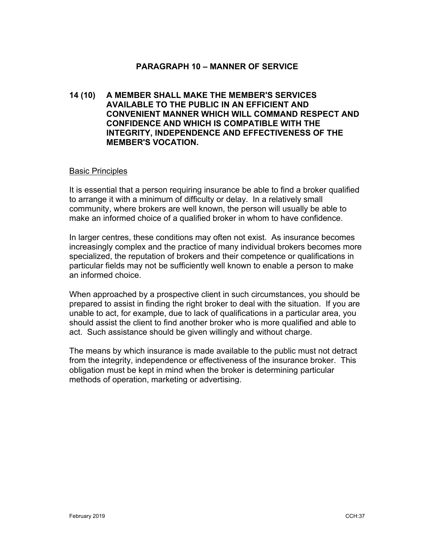### **PARAGRAPH 10 – MANNER OF SERVICE**

## **14 (10) A MEMBER SHALL MAKE THE MEMBER'S SERVICES AVAILABLE TO THE PUBLIC IN AN EFFICIENT AND CONVENIENT MANNER WHICH WILL COMMAND RESPECT AND CONFIDENCE AND WHICH IS COMPATIBLE WITH THE INTEGRITY, INDEPENDENCE AND EFFECTIVENESS OF THE MEMBER'S VOCATION.**

#### Basic Principles

It is essential that a person requiring insurance be able to find a broker qualified to arrange it with a minimum of difficulty or delay. In a relatively small community, where brokers are well known, the person will usually be able to make an informed choice of a qualified broker in whom to have confidence.

In larger centres, these conditions may often not exist. As insurance becomes increasingly complex and the practice of many individual brokers becomes more specialized, the reputation of brokers and their competence or qualifications in particular fields may not be sufficiently well known to enable a person to make an informed choice.

When approached by a prospective client in such circumstances, you should be prepared to assist in finding the right broker to deal with the situation. If you are unable to act, for example, due to lack of qualifications in a particular area, you should assist the client to find another broker who is more qualified and able to act. Such assistance should be given willingly and without charge.

The means by which insurance is made available to the public must not detract from the integrity, independence or effectiveness of the insurance broker. This obligation must be kept in mind when the broker is determining particular methods of operation, marketing or advertising.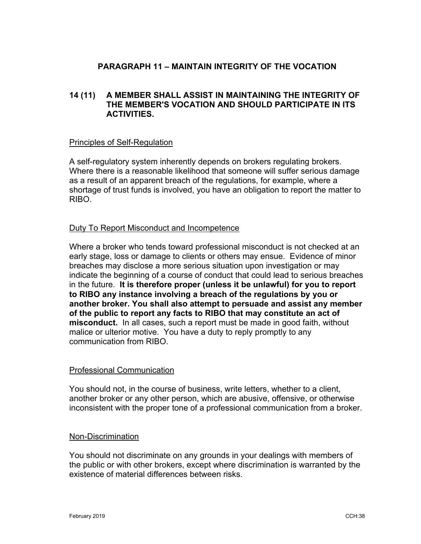# **PARAGRAPH 11 – MAINTAIN INTEGRITY OF THE VOCATION**

# **14 (11) A MEMBER SHALL ASSIST IN MAINTAINING THE INTEGRITY OF THE MEMBER'S VOCATION AND SHOULD PARTICIPATE IN ITS ACTIVITIES.**

#### Principles of Self-Regulation

A self-regulatory system inherently depends on brokers regulating brokers. Where there is a reasonable likelihood that someone will suffer serious damage as a result of an apparent breach of the regulations, for example, where a shortage of trust funds is involved, you have an obligation to report the matter to RIBO.

#### Duty To Report Misconduct and Incompetence

Where a broker who tends toward professional misconduct is not checked at an early stage, loss or damage to clients or others may ensue. Evidence of minor breaches may disclose a more serious situation upon investigation or may indicate the beginning of a course of conduct that could lead to serious breaches in the future. **It is therefore proper (unless it be unlawful) for you to report to RIBO any instance involving a breach of the regulations by you or another broker. You shall also attempt to persuade and assist any member of the public to report any facts to RIBO that may constitute an act of misconduct.** In all cases, such a report must be made in good faith, without malice or ulterior motive. You have a duty to reply promptly to any communication from RIBO.

#### Professional Communication

You should not, in the course of business, write letters, whether to a client, another broker or any other person, which are abusive, offensive, or otherwise inconsistent with the proper tone of a professional communication from a broker.

#### Non-Discrimination

You should not discriminate on any grounds in your dealings with members of the public or with other brokers, except where discrimination is warranted by the existence of material differences between risks.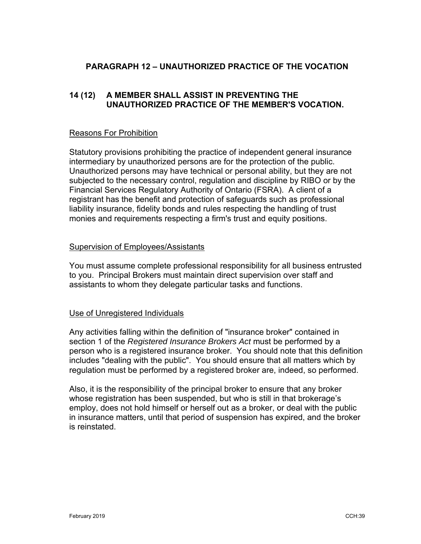# **PARAGRAPH 12 – UNAUTHORIZED PRACTICE OF THE VOCATION**

# **14 (12) A MEMBER SHALL ASSIST IN PREVENTING THE UNAUTHORIZED PRACTICE OF THE MEMBER'S VOCATION.**

### Reasons For Prohibition

Statutory provisions prohibiting the practice of independent general insurance intermediary by unauthorized persons are for the protection of the public. Unauthorized persons may have technical or personal ability, but they are not subjected to the necessary control, regulation and discipline by RIBO or by the Financial Services Regulatory Authority of Ontario (FSRA). A client of a registrant has the benefit and protection of safeguards such as professional liability insurance, fidelity bonds and rules respecting the handling of trust monies and requirements respecting a firm's trust and equity positions.

### Supervision of Employees/Assistants

You must assume complete professional responsibility for all business entrusted to you. Principal Brokers must maintain direct supervision over staff and assistants to whom they delegate particular tasks and functions.

#### Use of Unregistered Individuals

Any activities falling within the definition of "insurance broker" contained in section 1 of the *Registered Insurance Brokers Act* must be performed by a person who is a registered insurance broker. You should note that this definition includes "dealing with the public". You should ensure that all matters which by regulation must be performed by a registered broker are, indeed, so performed.

Also, it is the responsibility of the principal broker to ensure that any broker whose registration has been suspended, but who is still in that brokerage's employ, does not hold himself or herself out as a broker, or deal with the public in insurance matters, until that period of suspension has expired, and the broker is reinstated.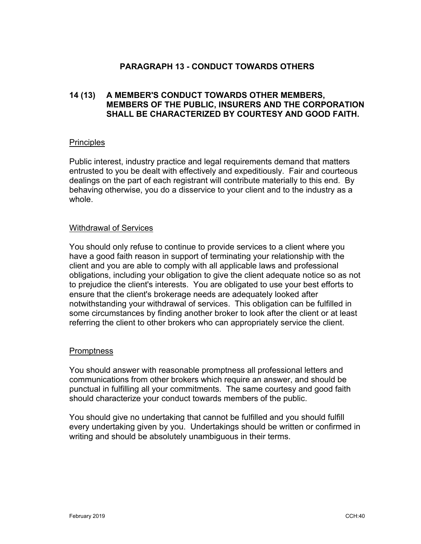# **PARAGRAPH 13 - CONDUCT TOWARDS OTHERS**

# **14 (13) A MEMBER'S CONDUCT TOWARDS OTHER MEMBERS, MEMBERS OF THE PUBLIC, INSURERS AND THE CORPORATION SHALL BE CHARACTERIZED BY COURTESY AND GOOD FAITH.**

#### **Principles**

Public interest, industry practice and legal requirements demand that matters entrusted to you be dealt with effectively and expeditiously. Fair and courteous dealings on the part of each registrant will contribute materially to this end. By behaving otherwise, you do a disservice to your client and to the industry as a whole.

#### Withdrawal of Services

You should only refuse to continue to provide services to a client where you have a good faith reason in support of terminating your relationship with the client and you are able to comply with all applicable laws and professional obligations, including your obligation to give the client adequate notice so as not to prejudice the client's interests. You are obligated to use your best efforts to ensure that the client's brokerage needs are adequately looked after notwithstanding your withdrawal of services. This obligation can be fulfilled in some circumstances by finding another broker to look after the client or at least referring the client to other brokers who can appropriately service the client.

# **Promptness**

You should answer with reasonable promptness all professional letters and communications from other brokers which require an answer, and should be punctual in fulfilling all your commitments. The same courtesy and good faith should characterize your conduct towards members of the public.

You should give no undertaking that cannot be fulfilled and you should fulfill every undertaking given by you. Undertakings should be written or confirmed in writing and should be absolutely unambiguous in their terms.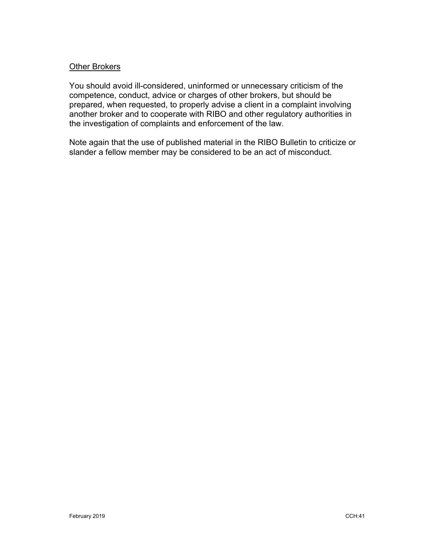### Other Brokers

You should avoid ill-considered, uninformed or unnecessary criticism of the competence, conduct, advice or charges of other brokers, but should be prepared, when requested, to properly advise a client in a complaint involving another broker and to cooperate with RIBO and other regulatory authorities in the investigation of complaints and enforcement of the law.

Note again that the use of published material in the RIBO Bulletin to criticize or slander a fellow member may be considered to be an act of misconduct.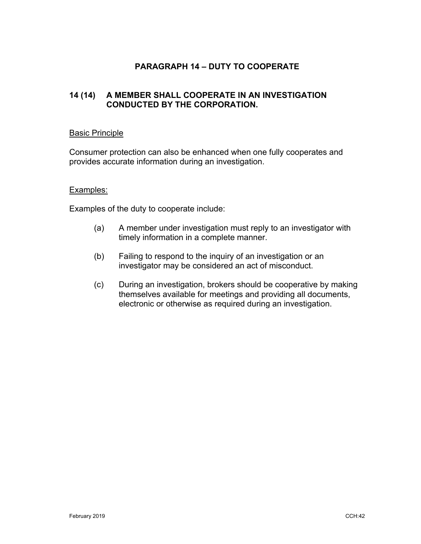# **PARAGRAPH 14 – DUTY TO COOPERATE**

# **14 (14) A MEMBER SHALL COOPERATE IN AN INVESTIGATION CONDUCTED BY THE CORPORATION.**

#### Basic Principle

Consumer protection can also be enhanced when one fully cooperates and provides accurate information during an investigation.

#### Examples:

Examples of the duty to cooperate include:

- (a) A member under investigation must reply to an investigator with timely information in a complete manner.
- (b) Failing to respond to the inquiry of an investigation or an investigator may be considered an act of misconduct.
- (c) During an investigation, brokers should be cooperative by making themselves available for meetings and providing all documents, electronic or otherwise as required during an investigation.